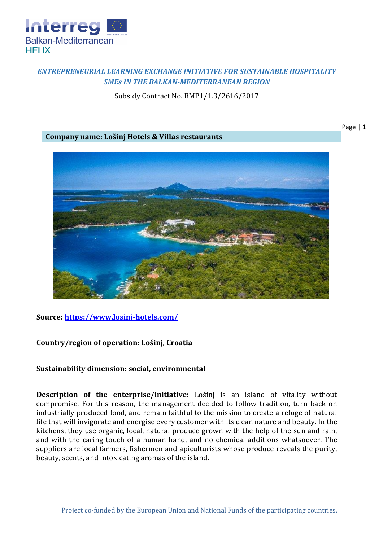

# *ENTREPRENEURIAL LEARNING EXCHANGE INITIATIVE FOR SUSTAINABLE HOSPITALITY SMEs IN THE BALKAN-MEDITERRANEAN REGION*

Subsidy Contract No. BMP1/1.3/2616/2017

## **Company name: Lošinj Hotels & Villas restaurants**

Page | 1



### **Source:<https://www.losinj-hotels.com/>**

### **Country/region of operation: Lošinj, Croatia**

### **Sustainability dimension: social, environmental**

**Description of the enterprise/initiative:** Lošinj is an island of vitality without compromise. For this reason, the management decided to follow tradition, turn back on industrially produced food, and remain faithful to the mission to create a refuge of natural life that will invigorate and energise every customer with its clean nature and beauty. In the kitchens, they use organic, local, natural produce grown with the help of the sun and rain, and with the caring touch of a human hand, and no chemical additions whatsoever. The suppliers are local farmers, fishermen and apiculturists whose produce reveals the purity, beauty, scents, and intoxicating aromas of the island.